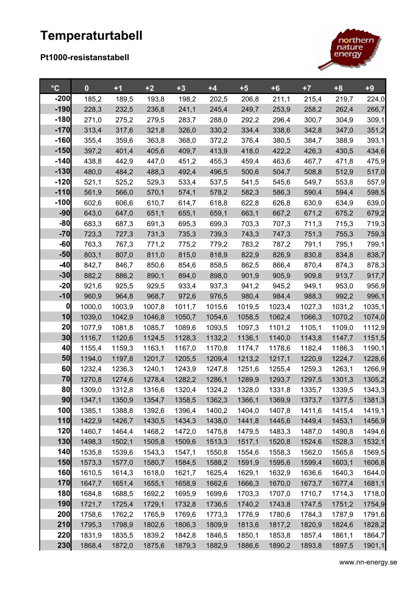## **Temperaturtabell**

## **Pt1000-resistanstabell**



| $\rm ^{\circ}C$        | $\bf{0}$         | $+1$             | $+2$             | $+3$             | $+4$             | $+5$             | $+6$             | $+7$             | $+8$             | $+9$             |
|------------------------|------------------|------------------|------------------|------------------|------------------|------------------|------------------|------------------|------------------|------------------|
| $-200$                 | 185,2            | 189,5            | 193,8            | 198,2            | 202,5            | 206,8            | 211,1            | 215,4            | 219,7            | 224,0            |
| $-190$                 | 228,3            | 232,5            | 236,8            | 241,1            | 245,4            | 249,7            | 253,9            | 258,2            | 262,4            | 266,7            |
| $-180$                 | 271,0            | 275,2            | 279,5            | 283,7            | 288,0            | 292,2            | 296,4            | 300,7            | 304,9            | 309,1            |
| $-170$                 | 313,4            | 317,6            | 321,8            | 326,0            | 330,2            | 334,4            | 338,6            | 342,8            | 347,0            | 351,2            |
| $-160$                 | 355,4            | 359,6            | 363,8            | 368,0            | 372,2            | 376,4            | 380,5            | 384,7            | 388,9            | 393,1            |
| $-150$                 | 397,2            | 401,4            | 405,6            | 409,7            | 413,9            | 418,0            | 422,2            | 426,3            | 430,5            | 434,6            |
| $-140$                 | 438,8            | 442,9            | 447,0            | 451,2            | 455,3            | 459,4            | 463,6            | 467,7            | 471,8            | 475,9            |
| $-130$                 | 480,0            | 484,2            | 488,3            | 492,4            | 496,5            | 500,6            | 504,7            | 508,8            | 512,9            | 517,0            |
| $-120$                 | 521,1            | 525,2            | 529,3            | 533,4            | 537,5            | 541,5            | 545,6            | 549,7            | 553,8            | 557,9            |
| $-110$                 | 561,9            | 566,0            | 570,1            | 574,1            | 578,2            | 582,3            | 586,3            | 590,4            | 594,4            | 598,5            |
| $-100$                 | 602,6            | 606,6            | 610,7            | 614,7            | 618,8            | 622,8            | 626,8            | 630,9            | 634,9            | 639,0            |
| $-90$                  | 643,0            | 647,0            | 651,1            | 655,1            | 659,1            | 663,1            | 667,2            | 671,2            | 675,2            | 679,2            |
| $-80$                  | 683,3            | 687,3            | 691,3            | 695,3            | 699,3            | 703,3            | 707,3            | 711,3            | 715,3            | 719,3            |
| $-70$                  | 723,3            | 727,3            | 731,3            | 735,3            | 739,3            | 743,3            | 747,3            | 751,3            | 755,3            | 759,3            |
| $-60$                  | 763,3            | 767,3            | 771,2            | 775,2            | 779,2            | 783,2            | 787,2            | 791,1            | 795,1            | 799,1            |
| $-50$                  | 803,1            | 807,0            | 811,0            | 815,0            | 818,9            | 822,9            | 826,9            | 830,8            | 834,8            | 838,7            |
| $-40$                  | 842,7            | 846,7            | 850,6            | 854,6            | 858,5            | 862,5            | 866,4            | 870,4            | 874,3            | 878,3            |
| $-30$                  | 882,2            | 886,2            | 890,1            | 894,0            | 898,0            | 901,9            | 905,9            | 909,8            | 913,7            | 917,7            |
| $-20$                  | 921,6            | 925,5            | 929,5            | 933,4            | 937,3            | 941,2            | 945,2            | 949,1            | 953,0            | 956,9            |
| $-10$                  | 960,9            | 964,8            | 968,7            | 972,6            | 976,5            | 980,4            | 984,4            | 988,3            | 992,2            | 996,1            |
| $\boldsymbol{0}$<br>10 | 1000,0           | 1003,9           | 1007,8           | 1011,7           | 1015,6           | 1019,5           | 1023,4           | 1027,3           | 1031,2           | 1035,1           |
| 20                     | 1039,0           | 1042,9           | 1046,8           | 1050,7           | 1054,6           | 1058,5           | 1062,4           | 1066,3           | 1070,2           | 1074,0           |
| 30                     | 1077,9<br>1116,7 | 1081,8<br>1120,6 | 1085,7<br>1124,5 | 1089,6<br>1128,3 | 1093,5<br>1132,2 | 1097,3<br>1136,1 | 1101,2<br>1140,0 | 1105,1<br>1143,8 | 1109,0<br>1147,7 | 1112,9<br>1151,5 |
| 40                     | 1155,4           | 1159,3           | 1163,1           | 1167,0           | 1170,8           | 1174,7           | 1178,6           | 1182,4           | 1186,3           | 1190,1           |
| 50                     | 1194,0           | 1197,8           | 1201,7           | 1205,5           | 1209,4           | 1213,2           | 1217,1           | 1220,9           | 1224,7           | 1228,6           |
| 60                     | 1232,4           | 1236,3           | 1240,1           | 1243,9           | 1247,8           | 1251,6           | 1255,4           | 1259,3           | 1263,1           | 1266,9           |
| 70                     | 1270,8           | 1274,6           | 1278,4           | 1282,2           | 1286,1           | 1289,9           | 1293,7           | 1297,5           | 1301,3           | 1305,2           |
| 80                     | 1309,0           | 1312,8           | 1316,6           | 1320,4           | 1324,2           | 1328,0           | 1331,8           | 1335,7           | 1339,5           | 1343,3           |
| 90                     | 1347,1           | 1350,9           | 1354,7           | 1358,5           | 1362,3           | 1366,1           | 1369,9           | 1373,7           | 1377,5           | 1381,3           |
| 100                    | 1385,1           | 1388,8           | 1392,6           | 1396,4           | 1400,2           | 1404,0           | 1407,8           | 1411,6           | 1415,4           | 1419,1           |
| 110                    | 1422,9           | 1426,7           | 1430,5           | 1434,3           | 1438,0           | 1441,8           | 1445,6           | 1449,4           | 1453,1           | 1456,9           |
| 120                    | 1460,7           | 1464,4           | 1468,2           | 1472,0           | 1475,8           | 1479,5           | 1483,3           | 1487,0           | 1490,8           | 1494,6           |
| 130                    | 1498,3           | 1502,1           | 1505,8           | 1509,6           | 1513,3           | 1517,1           | 1520,8           | 1524,6           | 1528,3           | 1532,1           |
| 140                    | 1535,8           | 1539,6           | 1543,3           | 1547,1           | 1550,8           | 1554,6           | 1558,3           | 1562,0           | 1565,8           | 1569,5           |
| 150                    | 1573,3           | 1577,0           | 1580,7           | 1584,5           | 1588,2           | 1591,9           | 1595,6           | 1599,4           | 1603,1           | 1606,8           |
| 160                    | 1610,5           | 1614,3           | 1618,0           | 1621,7           | 1625,4           | 1629,1           | 1632,9           | 1636,6           | 1640,3           | 1644,0           |
| 170                    | 1647,7           | 1651,4           | 1655,1           | 1658,9           | 1662,6           | 1666,3           | 1670,0           | 1673,7           | 1677,4           | 1681,1           |
| 180                    | 1684,8           | 1688,5           | 1692,2           | 1695,9           | 1699,6           | 1703,3           | 1707,0           | 1710,7           | 1714,3           | 1718,0           |
| 190                    | 1721,7           | 1725,4           | 1729,1           | 1732,8           | 1736,5           | 1740,2           | 1743,8           | 1747,5           | 1751,2           | 1754,9           |
| 200                    | 1758,6           | 1762,2           | 1765,9           | 1769,6           | 1773,3           | 1776,9           | 1780,6           | 1784,3           | 1787,9           | 1791,6           |
| 210                    | 1795,3           | 1798,9           | 1802,6           | 1806,3           | 1809,9           | 1813,6           | 1817,2           | 1820,9           | 1824,6           | 1828,2           |
| 220                    | 1831,9           | 1835,5           | 1839,2           | 1842,8           | 1846,5           | 1850,1           | 1853,8           | 1857,4           | 1861,1           | 1864,7           |
| 230                    | 1868,4           | 1872,0           | 1875,6           | 1879,3           | 1882,9           | 1886,6           | 1890,2           | 1893,8           | 1897,5           | 1901,1           |